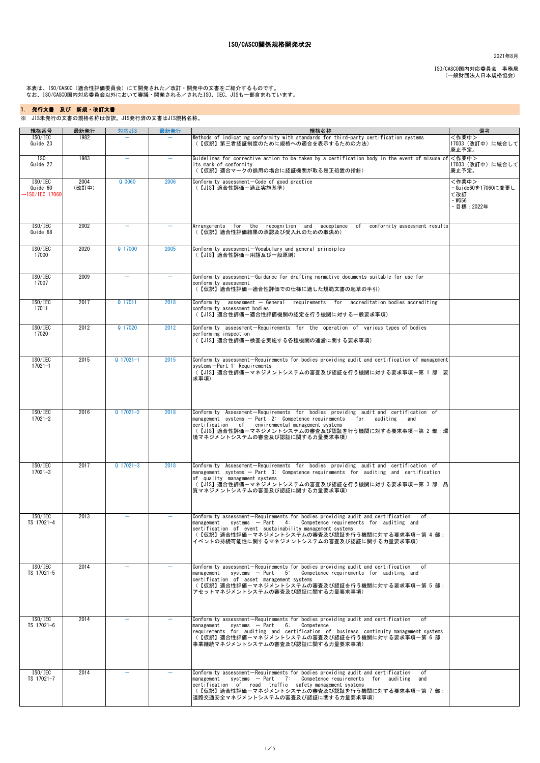2021年8月

ISO/CASCO国内対応委員会 事務局 (一般財団法人日本規格協会)

 本表は、ISO/CASCO(適合性評価委員会)にて開発された/改訂・開発中の文書をご紹介するものです。 なお、ISO/CASCO国内対応委員会以外において審議・開発される/されたISO、IEC、JISも一部含まれています。

| 規格番号                                               | 最新発行          | 対応JIS                    | 最新発行                     | 規格名称                                                                                                                                                                                                                                                                                                                        | 備考                                                             |
|----------------------------------------------------|---------------|--------------------------|--------------------------|-----------------------------------------------------------------------------------------------------------------------------------------------------------------------------------------------------------------------------------------------------------------------------------------------------------------------------|----------------------------------------------------------------|
| ISO/IEC<br>Guide 23                                | 1982          |                          |                          | Methods of indicating conformity with standards for third-party certification systems<br>(【仮訳】第三者認証制度のために規格への適合を表示するための方法)                                                                                                                                                                                                  | 〈作業中〉<br>17033 (改訂中)に統合して<br>廃止予定。                             |
| $\overline{150}$<br>Guide 27                       | 1983          | $\overline{\phantom{m}}$ | $\overline{\phantom{m}}$ | Guidelines for corrective action to be taken by a certification body in the event of misuse of $\leq$ $\sqrt{2}$<br>its mark of conformity<br>(【仮訳】適合マークの誤用の場合に認証機関が取る是正処置の指針)                                                                                                                                              | 17033 (改訂中)に統合して<br>廃止予定。                                      |
| ISO/IEC<br>Guide 60<br>$\rightarrow$ ISO/IEC 17060 | 2004<br>(改訂中) | $Q$ 0060                 | 2006                     | Conformity assessment-Code of good practice<br>(【JIS】適合性評価一適正実施基準)                                                                                                                                                                                                                                                          | <作業中><br>・Guide60を17060に変更し<br>て改訂<br>$\cdot$ WG56<br>目標:2022年 |
| ISO/IEC<br>Guide 68                                | 2002          | $\overline{\phantom{0}}$ |                          | Arrangements for the recognition and acceptance of conformity-assessment-results<br>(【仮訳】適合性評価結果の承認及び受入れのための取決め)                                                                                                                                                                                                            |                                                                |
| ISO/IEC<br>17000                                   | 2020          | Q 17000                  | 2005                     | Conformity assessment-Vocabulary and general principles<br>(【JIS】適合性評価ー用語及び一般原則)                                                                                                                                                                                                                                            |                                                                |
| ISO/IEC<br>17007                                   | 2009          |                          |                          | Conformity assessment-Guidance for drafting normative documents suitable for use for<br>conformity assessment<br>(【仮訳】適合性評価ー適合性評価での仕様に適した規範文書の起草の手引)                                                                                                                                                                        |                                                                |
| ISO/IEC<br>17011                                   | 2017          | Q 17011                  | 2018                     | Conformity assessment - General requirements for accreditation bodies accrediting<br>conformity assessment bodies<br>(【JIS】適合性評価一適合性評価機関の認定を行う機関に対する一般要求事項)                                                                                                                                                                 |                                                                |
| ISO/IEC<br>17020                                   | 2012          | Q 17020                  | 2012                     | Conformity assessment-Requirements for the operation of various types of bodies<br>performing inspection<br>(【JIS】適合性評価ー検査を実施する各種機関の運営に関する要求事項)                                                                                                                                                                             |                                                                |
| ISO/IEC<br>$17021 - 1$                             | 2015          | $Q$ 17021-1              | 2015                     | Conformity assessment-Requirements for bodies providing audit and certification of management<br>systems-Part 1: Requirements<br>(【JIS】適合性評価ーマネジメントシステムの審査及び認証を行う機関に対する要求事項一第 1 部: 要<br>求事項)                                                                                                                                |                                                                |
| ISO/IEC<br>$17021 - 2$                             | 2016          | $Q$ 17021-2              | 2018                     | Conformity Assessment-Requirements for bodies providing audit and certification of<br>management systems — Part 2: Competence requirements<br>for auditing and<br>certification of environmental management systems<br>(【JIS】適合性評価-マネジメントシステムの審査及び認証を行う機関に対する要求事項-第 2 部:環 <br> 境マネジメントシステムの審査及び認証に関する力量要求事項)                |                                                                |
| ISO/IEC<br>$17021 - 3$                             | 2017          | $Q$ 17021-3              | 2018                     | Conformity Assessment-Requirements for bodies providing audit and certification of<br>$\blacksquare$ management systems — Part 3: Competence requirements for auditing and certification<br>of quality management systems<br>(【JIS】適合性評価-マネジメントシステムの審査及び認証を行う機関に対する要求事項-第 3 部:品 <br> 質マネジメントシステムの審査及び認証に関する力量要求事項)          |                                                                |
| ISO/IEC<br>TS 17021-4                              | 2013          |                          |                          | Conformity assessment-Requirements for bodies providing audit and certification of<br>management systems $-$ Part 4: Competence requirements for auditing and<br>certification of event sustainability management systems<br>(【仮訳】適合性評価-マネジメントシステムの審査及び認証を行う機関に対する要求事項ー第 4 部:<br>イベントの持続可能性に関するマネジメントシステムの審査及び認証に関する力量要求事項) |                                                                |
| ISO/IEC<br>TS 17021-5                              | 2014          |                          |                          | Conformity assessment-Requirements for bodies providing audit and certification of<br>$\blacksquare$ management systems $-$ Part 5: Competence requirements for auditing and<br>certification of asset management systems<br>(【仮訳】適合性評価-マネジメントシステムの審査及び認証を行う機関に対する要求事項-第 5 部:<br> アセットマネジメントシステムの審査及び認証に関する力量要求事項)          |                                                                |
| ISO/IEC<br>TS 17021-6                              | 2014          |                          |                          | Conformity assessment-Requirements for bodies providing audit and certification of<br>management systems $-$ Part $6:$ Competence<br>requirements for auditing and certification of business continuity-management-systems<br>(【仮訳】適合性評価ーマネジメントシステムの審査及び認証を行う機関に対する要求事項一第 6 部:<br>事業継続マネジメントシステムの審査及び認証に関する力量要求事項)          |                                                                |
| ISO/IEC<br>TS 17021-7                              | 2014          |                          |                          | Conformity assessment-Requirements for bodies providing audit and certification<br>of<br>management systems $-$ Part 7: Competence requirements for auditing and<br>certification of road traffic safety-management-systems<br>(【仮訳】適合性評価ーマネジメントシステムの審査及び認証を行う機関に対する要求事項ー第 7 部:<br> 道路交通安全マネジメントシステムの審査及び認証に関する力量要求事項)      |                                                                |

## ISO/CASCO関係規格開発状況

## 1. 発行文書 及び 新規・改訂文書

※ JIS未発行の文書の規格名称は仮訳。JIS発行済の文書はJIS規格名称。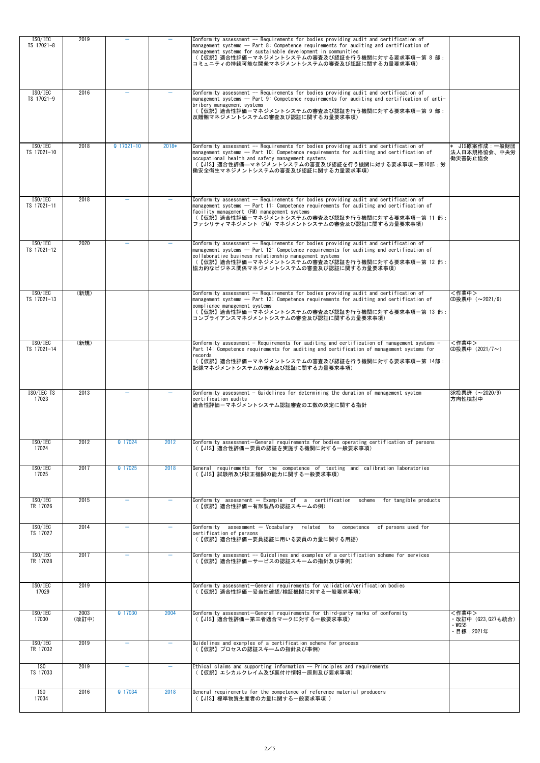| ISO/IEC                | 2019          |                          |         | Conformity assessment -- Requirements for bodies providing audit and certification of                                                                                                                                                                                                                                                       |                                                         |
|------------------------|---------------|--------------------------|---------|---------------------------------------------------------------------------------------------------------------------------------------------------------------------------------------------------------------------------------------------------------------------------------------------------------------------------------------------|---------------------------------------------------------|
| TS 17021-8             |               |                          |         | management systems -- Part 8: Competence requirements for auditing and certification of<br>management systems for sustainable development in communities<br>(【仮訳】適合性評価-マネジメントシステムの審査及び認証を行う機関に対する要求事項一第 8 部:<br> コミュニティの持続可能な開発マネジメントシステムの審査及び認証に関する力量要求事項)                                                                                 |                                                         |
| ISO/IEC<br>TS 17021-9  | 2016          |                          |         | Conformity assessment -- Requirements for bodies providing audit and certification of<br>management systems -- Part 9: Competence requirements for auditing and certification of anti-<br>bribery management systems<br>(【仮訳】適合性評価-マネジメントシステムの審査及び認証を行う機関に対する要求事項-第 9 部:<br>反贈賄マネジメントシステムの審査及び認証に関する力量要求事項)                                 |                                                         |
| ISO/IEC<br>TS 17021-10 | 2018          | $Q$ 17021-10             | $2018*$ | Conformity assessment -- Requirements for bodies providing audit and certification of<br>management systems -- Part 10: Competence requirements for auditing and certification of<br>occupational health and safety management systems<br>(【JIS】適合性評価––マネジメントシステムの審査及び認証を行う機関に対する要求事項–第10部:労<br> 働安全衛生マネジメントシステムの審査及び認証に関する力量要求事項)          | JIS原案作成:一般財団<br><b> 法人日本規格協会、中央労</b><br>働災害防止協会         |
| ISO/IEC<br>TS 17021-11 | 2018          |                          |         | Conformity assessment -- Requirements for bodies providing audit and certification of<br>management systems -- Part 11: Competence requirements for auditing and certification of<br>facility management (FM) management systems<br>(【仮訳】適合性評価ーマネジメントシステムの審査及び認証を行う機関に対する要求事項一第 11 部:<br>ファシリティマネジメント (FM) マネジメントシステムの審査及び認証に関する力量要求事項)     |                                                         |
| ISO/IEC<br>TS 17021-12 | 2020          |                          |         | Conformity assessment -- Requirements for bodies providing audit and certification of<br>management systems -- Part 12: Competence requirements for auditing and certification of<br>collaborative business relationship management systems<br>(【仮訳】適合性評価-マネジメントシステムの審査及び認証を行う機関に対する要求事項-第 12 部:<br> 協力的なビジネス関係マネジメントシステムの審査及び認証に関する力量要求事項) |                                                         |
| ISO/IEC<br>TS 17021-13 | (新規)          |                          |         | Conformity assessment -- Requirements for bodies providing audit and certification of<br>management systems -- Part 13: Competence requirements for auditing and certification of<br>compliance management systems<br>(【仮訳】適合性評価-マネジメントシステムの審査及び認証を行う機関に対する要求事項-第 13 部:<br> コンプライアンスマネジメントシステムの審査及び認証に関する力量要求事項)                            | <作業中><br>CD投票中(~2021/6)                                 |
| ISO/IEC<br>TS 17021-14 | (新規)          |                          |         | Conformity assessment - Requirements for auditing and certification of management systems -<br>Part 14: Competence requirements for auditing and certification of management systems for<br>records<br>(【仮訳】適合性評価ーマネジメントシステムの審査及び認証を行う機関に対する要求事項一第 14部:<br> 記録マネジメントシステムの審査及び認証に関する力量要求事項)                                                  | 〈作業中〉<br>CD投票中 (2021/7~)                                |
| ISO/IEC TS<br>17023    | 2013          |                          |         | Conformity assessment - Guidelines for determining the duration of management system<br>certification audits<br> 適合性評価-マネジメントシステム認証審査の工数の決定に関する指針                                                                                                                                                                                           | SR投票済(~2020/9)<br>方向性検討中                                |
| ISO/IEC<br>17024       | 2012          | Q 17024                  | 2012    | Conformity assessment-General requirements for bodies operating certification of persons<br>(【JIS】適合性評価ー要員の認証を実施する機関に対する一般要求事項)                                                                                                                                                                                                             |                                                         |
| ISO/IEC<br>17025       | 2017          | Q 17025                  | 2018    | General requirements for the competence of testing and calibration laboratories<br>(【JIS】試験所及び校正機関の能力に関する一般要求事項)                                                                                                                                                                                                                            |                                                         |
| ISO/IEC<br>TR 17026    | 2015          |                          |         | for tangible products<br>Conformity assessment — Example of a certification scheme<br>(【仮訳】適合性評価一有形製品の認証スキームの例)                                                                                                                                                                                                                             |                                                         |
| ISO/IEC<br>TS 17027    | 2014          | $\overline{\phantom{0}}$ |         | Conformity assessment - Vocabulary related to competence of persons used for<br>certification of persons<br>(【仮訳】適合性評価ー要員認証に用いる要員の力量に関する用語)                                                                                                                                                                                                 |                                                         |
| ISO/IEC<br>TR 17028    | 2017          |                          |         | Conformity assessment -- Guidelines and examples of a certification scheme for services<br>(【仮訳】適合性評価ーサービスの認証スキームの指針及び事例)                                                                                                                                                                                                                   |                                                         |
| ISO/IEC<br>17029       | 2019          |                          |         | Conformity assessment-General requirements for validation/verification bodies<br>(【仮訳】適合性評価ー妥当性確認/検証機関に対する一般要求事項)                                                                                                                                                                                                                           |                                                         |
| ISO/IEC<br>17030       | 2003<br>(改訂中) | Q 17030                  | 2004    | Conformity assessment-General requirements for third-party marks of conformity<br>(【JIS】適合性評価一第三者適合マークに対する一般要求事項)                                                                                                                                                                                                                           | <作業中><br>・改訂中 (G23,G27も統合)<br>$\cdot$ WG55<br>・目標:2021年 |
| ISO/IEC<br>TR 17032    | 2019          |                          |         | Guidelines and examples of a certification scheme for process<br>(【仮訳】プロセスの認証スキームの指針及び事例)                                                                                                                                                                                                                                                   |                                                         |
| ISO<br>TS 17033        | 2019          |                          |         | Ethical claims and supporting information -- Principles and requirements<br>(【仮訳】エシカルクレイム及び裏付け情報ー原則及び要求事項)                                                                                                                                                                                                                                  |                                                         |
| ISO<br>17034           | 2016          | Q 17034                  | 2018    | General requirements for the competence of reference material producers<br>(【JIS】標準物質生産者の力量に関する一般要求事項)                                                                                                                                                                                                                                      |                                                         |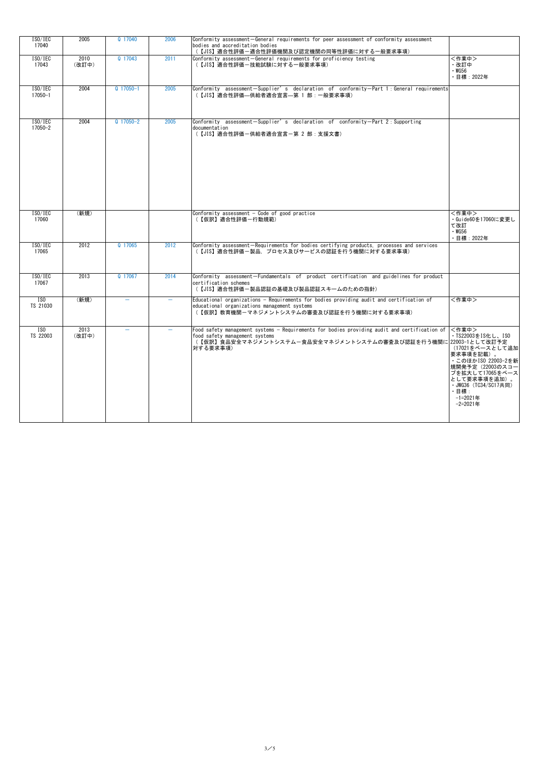| ISO/IEC<br>17040             | 2005          | Q 17040                  | 2006 | Conformity assessment-General requirements for peer assessment of conformity assessment<br>bodies and accreditation bodies<br>(【JIS】適合性評価-適合性評価機関及び認定機関の同等性評価に対する一般要求事項)                                     |                                                                                                                                                                                                         |
|------------------------------|---------------|--------------------------|------|--------------------------------------------------------------------------------------------------------------------------------------------------------------------------------------------------------------|---------------------------------------------------------------------------------------------------------------------------------------------------------------------------------------------------------|
| ISO/IEC<br>17043             | 2010<br>(改訂中) | Q 17043                  | 2011 | Conformity assessment-General requirements for proficiency testing<br>(【JIS】適合性評価ー技能試験に対する一般要求事項)                                                                                                            | <作業中><br>・改訂中<br>$\cdot$ WG56<br>・目標:2022年                                                                                                                                                              |
| ISO/IEC<br>$17050 - 1$       | 2004          | $Q$ 17050-1              | 2005 | Conformity assessment-Supplier's declaration of conformity-Part 1: General requirements<br>(【JIS】適合性評価—供給者適合宣言—第 1 部: 一般要求事項)                                                                                |                                                                                                                                                                                                         |
| ISO/IEC<br>17050-2           | 2004          | $Q$ 17050-2              | 2005 | Conformity assessment-Supplier's declaration of conformity-Part 2: Supporting<br>documentation<br>(【JIS】適合性評価一供給者適合宣言一第 2 部: 支援文書)                                                                           |                                                                                                                                                                                                         |
| ISO/IEC<br>17060             | (新規)          |                          |      | Conformity assessment $-$ Code of good practice<br>(【仮訳】適合性評価一行動規範)                                                                                                                                          | 〈作業中〉<br>・Guide60を17060に変更し<br>て改訂<br>$\cdot$ WG56<br>・目標:2022年                                                                                                                                         |
| ISO/IEC<br>17065             | 2012          | Q 17065                  | 2012 | Conformity assessment-Requirements for bodies certifying products, processes and services<br>(【JIS】適合性評価ー製品,プロセス及びサービスの認証を行う機関に対する要求事項)                                                                      |                                                                                                                                                                                                         |
| ISO/IEC<br>17067             | 2013          | Q 17067                  | 2014 | Conformity assessment-Fundamentals of product certification and guidelines for product<br>certification schemes<br>(【JIS】適合性評価ー製品認証の基礎及び製品認証スキームのための指針)                                                      |                                                                                                                                                                                                         |
| ISO<br>TS 21030              | (新規)          |                          |      | Educational organizations - Requirements for bodies providing audit and certification of<br>educational organizations management systems<br>(【仮訳】教育機関-マネジメントシステムの審査及び認証を行う機関に対する要求事項)                        | 〈作業中〉                                                                                                                                                                                                   |
| $\overline{150}$<br>TS 22003 | 2013<br>(改訂中) | $\overline{\phantom{0}}$ |      | Food safety management systems - Requirements for bodies providing audit and certification of<br>food safety management systems<br>(【仮訳】食品安全マネジメントシステムー食品安全マネジメントシステムの審査及び認証を行う機関に22003-1として改訂予定<br>対する要求事項) | <作業中><br>・TS22003をIS化し、ISO<br>(17021をベースとして追加<br>要求事項を記載)。<br>· このほかISO 22003-2を新<br> 規開発予定(22003のスコー<br>プを拡大して17065をベース<br>として要求事項を追加)。<br>· JWG36 (TC34/SC17共同)<br>・目標:<br>$-1=2021$ 年<br>$-2=2021$ 年 |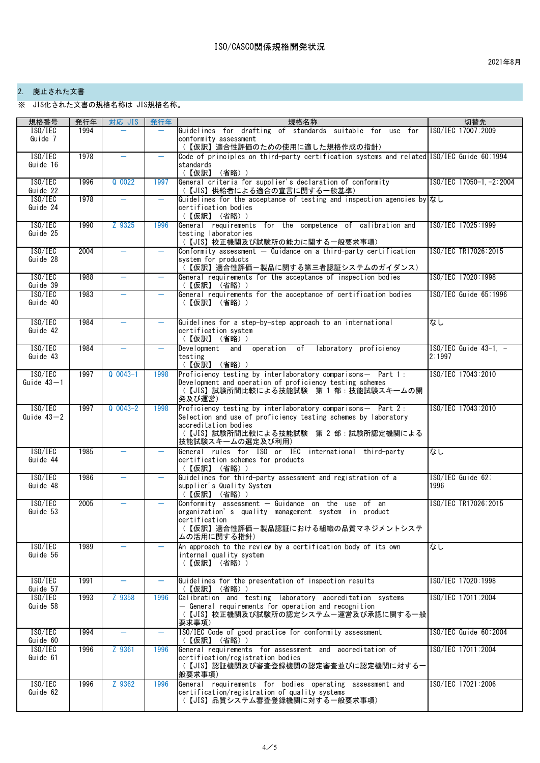## 2. 廃止された文書

※ JIS化された文書の規格名称は JIS規格名称。

| 規格番号                      | 発行年  | 対応 JIS     | 発行年  | 規格名称                                                                                                                             | 切替先                                   |
|---------------------------|------|------------|------|----------------------------------------------------------------------------------------------------------------------------------|---------------------------------------|
| ISO/IEC                   | 1994 |            |      | Guidelines for drafting of standards suitable for use for                                                                        | ISO/IEC 17007:2009                    |
| Guide 7                   |      |            |      | conformity assessment                                                                                                            |                                       |
|                           |      |            |      | (【仮訳】適合性評価のための使用に適した規格作成の指針)                                                                                                     |                                       |
| ISO/IEC                   | 1978 |            |      | Code of principles on third-party certification systems and related ISO/IEC Guide 60:1994                                        |                                       |
| Guide 16                  |      |            |      | standards<br>(【仮訳】 (省略))                                                                                                         |                                       |
| ISO/IEC                   | 1996 | $Q$ 0022   | 1997 | General criteria for supplier's declaration of conformity                                                                        | ISO/IEC 17050-1, -2:2004              |
| Guide 22                  |      |            |      | (【JIS】供給者による適合の宣言に関する一般基準)                                                                                                       |                                       |
| ISO/IEC                   | 1978 |            |      | Guidelines for the acceptance of testing and inspection agencies byはし                                                            |                                       |
| Guide 24                  |      |            |      | certification bodies                                                                                                             |                                       |
|                           |      |            |      | (【仮訳】 (省略))                                                                                                                      |                                       |
| ISO/IEC                   | 1990 | Z 9325     | 1996 | General requirements for the competence of calibration and                                                                       | ISO/IEC 17025:1999                    |
| Guide 25                  |      |            |      | testing laboratories<br>(【JIS】校正機関及び試験所の能力に関する一般要求事項)                                                                            |                                       |
| ISO/IEC                   | 2004 |            | ÷,   | Conformity assessment $-$ Guidance on a third-party certification                                                                | ISO/IEC TR17026:2015                  |
| Guide 28                  |      |            |      | system for products                                                                                                              |                                       |
|                           |      |            |      | (【仮訳】適合性評価-製品に関する第三者認証システムのガイダンス)                                                                                                |                                       |
| ISO/IEC                   | 1988 |            | -    | General requirements for the acceptance of inspection bodies                                                                     | ISO/IEC 17020:1998                    |
| Guide 39                  |      |            |      | (【仮訳】 (省略) )                                                                                                                     |                                       |
| ISO/IEC                   | 1983 |            |      | General requirements for the acceptance of certification bodies                                                                  | $ISO/IEC$ Guide $65:1996$             |
| Guide 40                  |      |            |      | (【仮訳】(省略))                                                                                                                       |                                       |
|                           |      |            |      |                                                                                                                                  |                                       |
| ISO/IEC                   | 1984 |            |      | Guidelines for a step-by-step approach to an international                                                                       | なし                                    |
| Guide 42                  |      |            |      | certification system<br>(【仮訳】 (省略) )                                                                                             |                                       |
| ISO/IEC                   | 1984 |            |      | Development<br>operation of<br>laboratory proficiency<br>and                                                                     | $1\text{SO}/\text{IEC}$ Guide 43-1, - |
| Guide 43                  |      |            |      | testing                                                                                                                          | 2:1997                                |
|                           |      |            |      | (【仮訳】 (省略) )                                                                                                                     |                                       |
| ISO/IEC                   | 1997 | $Q$ 0043-1 | 1998 | $\sqrt{P}$ Proficiency testing by interlaboratory comparisons - Part 1:                                                          | ISO/IEC 17043:2010                    |
| Guide $43 - 1$            |      |            |      | Development and operation of proficiency testing schemes                                                                         |                                       |
|                           |      |            |      | (【JIS】試験所間比較による技能試験 第1部:技能試験スキームの開                                                                                               |                                       |
|                           |      | $Q$ 0043-2 |      | 発及び運営)                                                                                                                           |                                       |
| ISO/IEC<br>Guide $43 - 2$ | 1997 |            | 1998 | Proficiency testing by interlaboratory comparisons - Part $2:$<br>Selection and use of proficiency testing schemes by laboratory | ISO/IEC 17043:2010                    |
|                           |      |            |      | accreditation bodies                                                                                                             |                                       |
|                           |      |            |      | (【JIS】試験所間比較による技能試験 第 2 部:試験所認定機関による                                                                                             |                                       |
|                           |      |            |      | 技能試験スキームの選定及び利用)                                                                                                                 |                                       |
| ISO/IEC                   | 1985 |            |      | General rules for ISO or IEC international third-party                                                                           | なし                                    |
| Guide 44                  |      |            |      | certification schemes for products                                                                                               |                                       |
| ISO/IEC                   | 1986 |            |      | (【仮訳】 (省略) )<br>Guidelines for third-party assessment and registration of a                                                      | $ISO/IEC$ Guide 62:                   |
| Guide 48                  |      |            |      | supplier's Quality System                                                                                                        | 1996                                  |
|                           |      |            |      | (【仮訳】 (省略) )                                                                                                                     |                                       |
| ISO/IEC                   | 2005 |            |      | Conformity assessment - Guidance on the use of an                                                                                | ISO/IEC TR17026:2015                  |
| Guide 53                  |      |            |      | organization's quality management system in product                                                                              |                                       |
|                           |      |            |      | certification                                                                                                                    |                                       |
|                           |      |            |      | (【仮訳】適合性評価-製品認証における組織の品質マネジメントシステ                                                                                                |                                       |
| ISO/IEC                   | 1989 |            |      | ムの活用に関する指針)<br>An approach to the review by a certification body of its own                                                      | なし                                    |
| Guide 56                  |      |            |      | internal quality system                                                                                                          |                                       |
|                           |      |            |      | (【仮訳】 (省略))                                                                                                                      |                                       |
|                           |      |            |      |                                                                                                                                  |                                       |
| ISO/IEC                   | 1991 | $\equiv$   |      | Guidelines for the presentation of inspection results                                                                            | ISO/IEC 17020:1998                    |
| Guide 57                  |      |            |      | (【仮訳】 (省略) )                                                                                                                     |                                       |
| ISO/IEC                   | 1993 | Z 9358     | 1996 | Calibration and testing laboratory accreditation systems                                                                         | ISO/IEC 17011:2004                    |
| Guide 58                  |      |            |      | - General requirements for operation and recognition<br>(【JIS】校正機関及び試験所の認定システムー運営及び承認に関する一般                                      |                                       |
|                           |      |            |      | 要求事項)                                                                                                                            |                                       |
| ISO/IEC                   | 1994 |            |      | ISO/IEC Code of good practice for conformity assessment                                                                          | $ISO/IEC$ Guide $60:2004$             |
| Guide 60                  |      |            |      | (【仮訳】 (省略) )                                                                                                                     |                                       |
| ISO/IEC                   | 1996 | Z 9361     | 1996 | General requirements for assessment and accreditation of                                                                         | ISO/IEC 17011:2004                    |
| Guide 61                  |      |            |      | certification/registration bodies                                                                                                |                                       |
|                           |      |            |      | (【JIS】認証機関及び審査登録機関の認定審査並びに認定機関に対する一<br>般要求事項)                                                                                    |                                       |
| ISO/IEC                   | 1996 | Z 9362     | 1996 | General requirements for bodies operating assessment and                                                                         | ISO/IEC 17021:2006                    |
| Guide 62                  |      |            |      | certification/registration of quality systems                                                                                    |                                       |
|                           |      |            |      | (【JIS】品質システム審査登録機関に対する一般要求事項)                                                                                                    |                                       |
|                           |      |            |      |                                                                                                                                  |                                       |